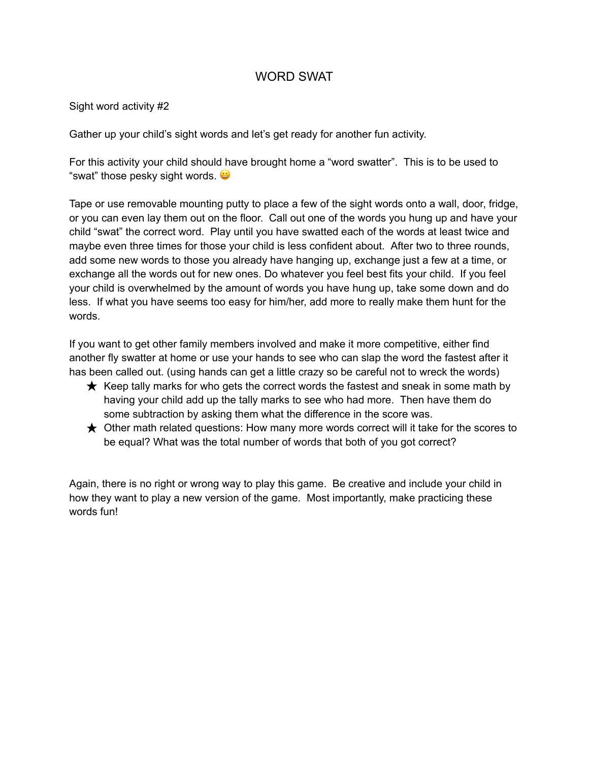## WORD SWAT

Sight word activity #2

Gather up your child's sight words and let's get ready for another fun activity.

For this activity your child should have brought home a "word swatter". This is to be used to "swat" those pesky sight words.

Tape or use removable mounting putty to place a few of the sight words onto a wall, door, fridge, or you can even lay them out on the floor. Call out one of the words you hung up and have your child "swat" the correct word. Play until you have swatted each of the words at least twice and maybe even three times for those your child is less confident about. After two to three rounds, add some new words to those you already have hanging up, exchange just a few at a time, or exchange all the words out for new ones. Do whatever you feel best fits your child. If you feel your child is overwhelmed by the amount of words you have hung up, take some down and do less. If what you have seems too easy for him/her, add more to really make them hunt for the words.

If you want to get other family members involved and make it more competitive, either find another fly swatter at home or use your hands to see who can slap the word the fastest after it has been called out. (using hands can get a little crazy so be careful not to wreck the words)

- $\star$  Keep tally marks for who gets the correct words the fastest and sneak in some math by having your child add up the tally marks to see who had more. Then have them do some subtraction by asking them what the difference in the score was.
- $\bigstar$  Other math related questions: How many more words correct will it take for the scores to be equal? What was the total number of words that both of you got correct?

Again, there is no right or wrong way to play this game. Be creative and include your child in how they want to play a new version of the game. Most importantly, make practicing these words fun!